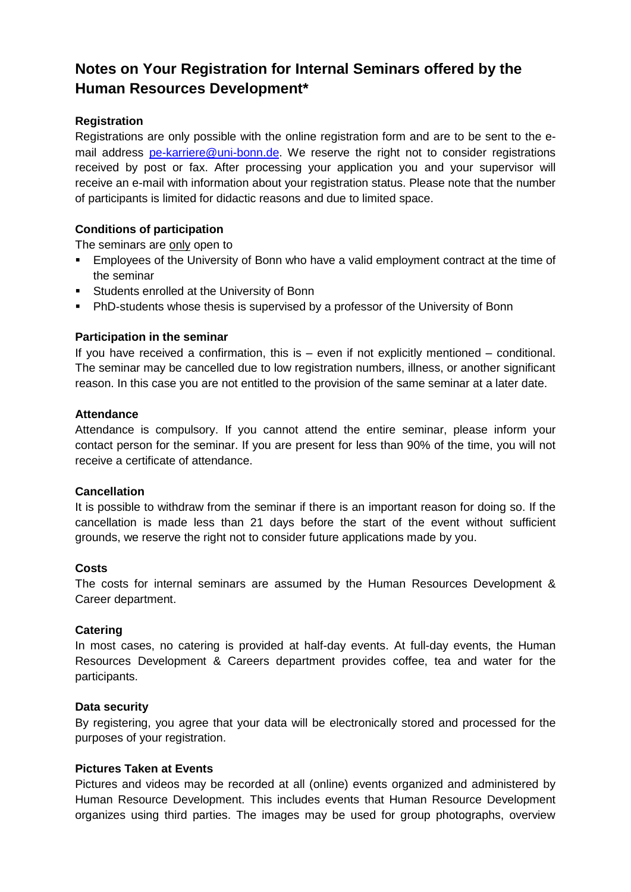# **Notes on Your Registration for Internal Seminars offered by the Human Resources Development\***

# **Registration**

Registrations are only possible with the online registration form and are to be sent to the email address [pe-karriere@uni-bonn.de.](mailto:pe-karriere@uni-bonn.de) We reserve the right not to consider registrations received by post or fax. After processing your application you and your supervisor will receive an e-mail with information about your registration status. Please note that the number of participants is limited for didactic reasons and due to limited space.

# **Conditions of participation**

The seminars are only open to

- Employees of the University of Bonn who have a valid employment contract at the time of the seminar
- Students enrolled at the University of Bonn
- **PhD-students whose thesis is supervised by a professor of the University of Bonn**

## **Participation in the seminar**

If you have received a confirmation, this is  $-$  even if not explicitly mentioned  $-$  conditional. The seminar may be cancelled due to low registration numbers, illness, or another significant reason. In this case you are not entitled to the provision of the same seminar at a later date.

#### **Attendance**

Attendance is compulsory. If you cannot attend the entire seminar, please inform your contact person for the seminar. If you are present for less than 90% of the time, you will not receive a certificate of attendance.

#### **Cancellation**

It is possible to withdraw from the seminar if there is an important reason for doing so. If the cancellation is made less than 21 days before the start of the event without sufficient grounds, we reserve the right not to consider future applications made by you.

#### **Costs**

The costs for internal seminars are assumed by the Human Resources Development & Career department.

# **Catering**

In most cases, no catering is provided at half-day events. At full-day events, the Human Resources Development & Careers department provides coffee, tea and water for the participants.

#### **Data security**

By registering, you agree that your data will be electronically stored and processed for the purposes of your registration.

#### **Pictures Taken at Events**

Pictures and videos may be recorded at all (online) events organized and administered by Human Resource Development. This includes events that Human Resource Development organizes using third parties. The images may be used for group photographs, overview